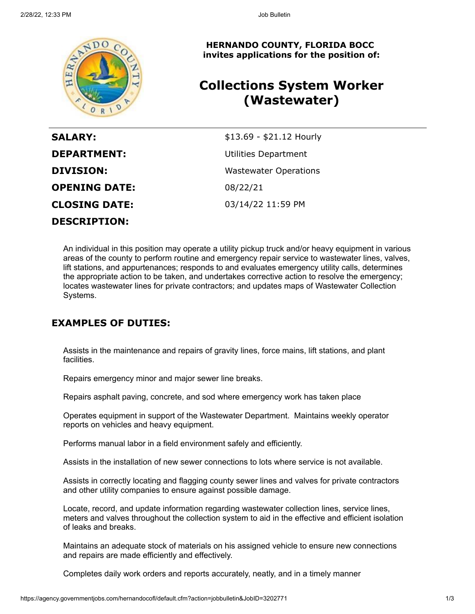

**HERNANDO COUNTY, FLORIDA BOCC invites applications for the position of:**

# **Collections System Worker (Wastewater)**

| <b>SALARY:</b>       | $$13.69 - $21.12$ Hourly     |
|----------------------|------------------------------|
| <b>DEPARTMENT:</b>   | Utilities Department         |
| <b>DIVISION:</b>     | <b>Wastewater Operations</b> |
| <b>OPENING DATE:</b> | 08/22/21                     |
| <b>CLOSING DATE:</b> | 03/14/22 11:59 PM            |
| <b>DESCRIPTION:</b>  |                              |

An individual in this position may operate a utility pickup truck and/or heavy equipment in various areas of the county to perform routine and emergency repair service to wastewater lines, valves, lift stations, and appurtenances; responds to and evaluates emergency utility calls, determines the appropriate action to be taken, and undertakes corrective action to resolve the emergency; locates wastewater lines for private contractors; and updates maps of Wastewater Collection Systems.

## **EXAMPLES OF DUTIES:**

Assists in the maintenance and repairs of gravity lines, force mains, lift stations, and plant facilities.

Repairs emergency minor and major sewer line breaks.

Repairs asphalt paving, concrete, and sod where emergency work has taken place

Operates equipment in support of the Wastewater Department. Maintains weekly operator reports on vehicles and heavy equipment.

Performs manual labor in a field environment safely and efficiently.

Assists in the installation of new sewer connections to lots where service is not available.

Assists in correctly locating and flagging county sewer lines and valves for private contractors and other utility companies to ensure against possible damage.

Locate, record, and update information regarding wastewater collection lines, service lines, meters and valves throughout the collection system to aid in the effective and efficient isolation of leaks and breaks.

Maintains an adequate stock of materials on his assigned vehicle to ensure new connections and repairs are made efficiently and effectively.

Completes daily work orders and reports accurately, neatly, and in a timely manner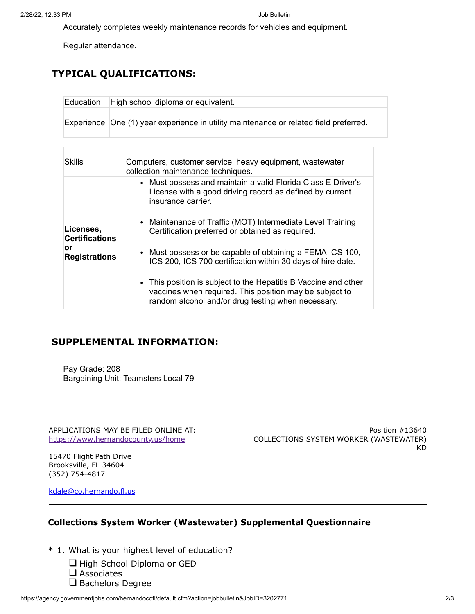Accurately completes weekly maintenance records for vehicles and equipment.

Regular attendance.

## **TYPICAL QUALIFICATIONS:**

| <b>Education</b> | High school diploma or equivalent.                                                    |
|------------------|---------------------------------------------------------------------------------------|
|                  | Experience One (1) year experience in utility maintenance or related field preferred. |

| Skills                                                           | Computers, customer service, heavy equipment, wastewater<br>collection maintenance techniques.                                                                                   |
|------------------------------------------------------------------|----------------------------------------------------------------------------------------------------------------------------------------------------------------------------------|
| Licenses,<br><b>Certifications</b><br>or<br><b>Registrations</b> | • Must possess and maintain a valid Florida Class E Driver's<br>License with a good driving record as defined by current<br>insurance carrier.                                   |
|                                                                  | • Maintenance of Traffic (MOT) Intermediate Level Training<br>Certification preferred or obtained as required.                                                                   |
|                                                                  | • Must possess or be capable of obtaining a FEMA ICS 100,<br>ICS 200, ICS 700 certification within 30 days of hire date.                                                         |
|                                                                  | • This position is subject to the Hepatitis B Vaccine and other<br>vaccines when required. This position may be subject to<br>random alcohol and/or drug testing when necessary. |

## **SUPPLEMENTAL INFORMATION:**

Pay Grade: 208 Bargaining Unit: Teamsters Local 79

APPLICATIONS MAY BE FILED ONLINE AT: <https://www.hernandocounty.us/home>

Position #13640 COLLECTIONS SYSTEM WORKER (WASTEWATER) KD

15470 Flight Path Drive Brooksville, FL 34604 (352) 754-4817

[kdale@co.hernando.fl.us](mailto:kdale@co.hernando.fl.us)

### **Collections System Worker (Wastewater) Supplemental Questionnaire**

- \* 1. What is your highest level of education?
	- High School Diploma or GED
	- $\Box$  Associates
	- Bachelors Degree